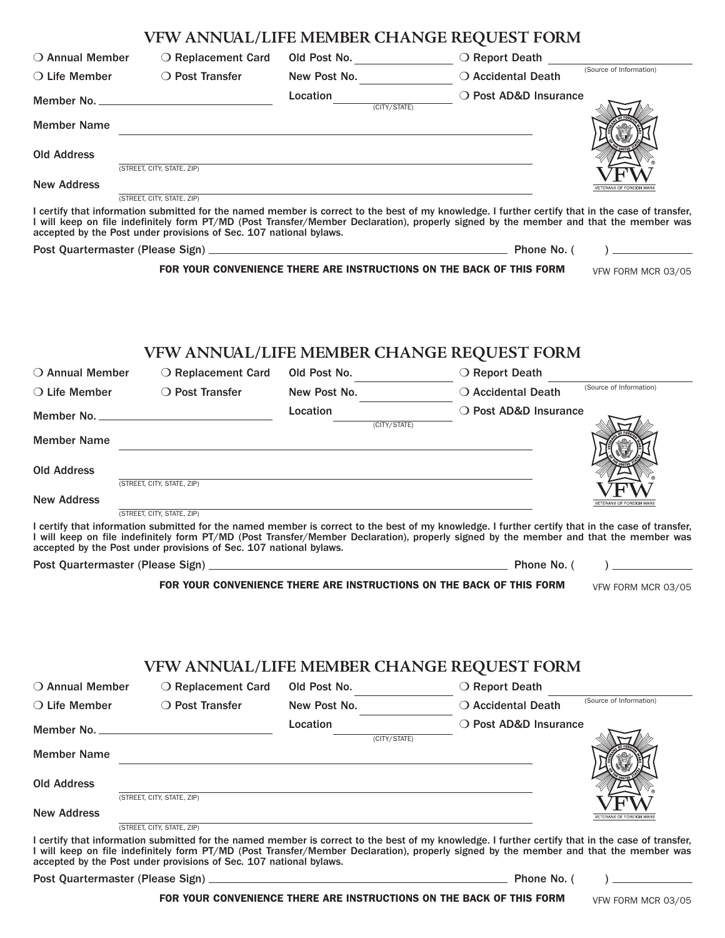|                                  | VFW ANNUAL/LIFE MEMBER CHANGE REQUEST FORM                                                                                                                                                                                                                                                                                                                                                     |                                                                                                                                                                                                                               |              |                                                                |                          |
|----------------------------------|------------------------------------------------------------------------------------------------------------------------------------------------------------------------------------------------------------------------------------------------------------------------------------------------------------------------------------------------------------------------------------------------|-------------------------------------------------------------------------------------------------------------------------------------------------------------------------------------------------------------------------------|--------------|----------------------------------------------------------------|--------------------------|
| $\bigcirc$ Annual Member         | ○ Replacement Card                                                                                                                                                                                                                                                                                                                                                                             | Old Post No. __________________                                                                                                                                                                                               |              | O Report Death (Source of Information)                         |                          |
|                                  | ○ Life Member ○ Post Transfer                                                                                                                                                                                                                                                                                                                                                                  |                                                                                                                                                                                                                               |              | New Post No. ________________ O Accidental Death               |                          |
|                                  |                                                                                                                                                                                                                                                                                                                                                                                                |                                                                                                                                                                                                                               |              |                                                                |                          |
| <b>Member Name</b>               | <u> 1989 - Jan Barbara de Santo III e al Indonesia de la contrada de la contrada de la contrada de la contrada de</u>                                                                                                                                                                                                                                                                          |                                                                                                                                                                                                                               |              |                                                                |                          |
| <b>Old Address</b>               |                                                                                                                                                                                                                                                                                                                                                                                                | the control of the control of the control of the control of the control of the control of the control of the control of the control of the control of the control of the control of the control of the control of the control |              |                                                                |                          |
|                                  | (STREET, CITY, STATE, ZIP)                                                                                                                                                                                                                                                                                                                                                                     |                                                                                                                                                                                                                               |              |                                                                |                          |
| <b>New Address</b>               | (STREET, CITY, STATE, ZIP)                                                                                                                                                                                                                                                                                                                                                                     | <u> 1989 - Andrea Station Barbara, actor a component de la componentación de la componentación de la componentaci</u>                                                                                                         |              |                                                                | VETERANS OF FOREIGN WARS |
|                                  | I certify that information submitted for the named member is correct to the best of my knowledge. I further certify that in the case of transfer,<br>I will keep on file indefinitely form PT/MD (Post Transfer/Member Declaration), properly signed by the member and that the member was<br>accepted by the Post under provisions of Sec. 107 national bylaws.                               |                                                                                                                                                                                                                               |              |                                                                |                          |
|                                  |                                                                                                                                                                                                                                                                                                                                                                                                |                                                                                                                                                                                                                               |              |                                                                |                          |
|                                  | FOR YOUR CONVENIENCE THERE ARE INSTRUCTIONS ON THE BACK OF THIS FORM                                                                                                                                                                                                                                                                                                                           |                                                                                                                                                                                                                               |              |                                                                | VFW FORM MCR 03/05       |
| ○ Annual Member                  | VFW ANNUAL/LIFE MEMBER CHANGE REQUEST FORM<br>○ Replacement Card                                                                                                                                                                                                                                                                                                                               | Old Post No.                                                                                                                                                                                                                  |              | ○ Report Death                                                 | (Source of Information)  |
|                                  | ○ Life Member ○ Post Transfer                                                                                                                                                                                                                                                                                                                                                                  |                                                                                                                                                                                                                               |              | New Post No. <u>Consumer Canadian Death</u> O Accidental Death |                          |
|                                  |                                                                                                                                                                                                                                                                                                                                                                                                | <b>Location</b><br>(CITY/STATE)                                                                                                                                                                                               |              | O Post AD&D Insurance                                          |                          |
| <b>Member Name</b>               | <u> 1989 - Johann Stoff, deutscher Stoff, der Stoff, der Stoff, der Stoff, der Stoff, der Stoff, der Stoff, der S</u>                                                                                                                                                                                                                                                                          |                                                                                                                                                                                                                               |              |                                                                |                          |
| <b>Old Address</b>               | (STREET, CITY, STATE, ZIP)                                                                                                                                                                                                                                                                                                                                                                     |                                                                                                                                                                                                                               |              |                                                                |                          |
| <b>New Address</b>               |                                                                                                                                                                                                                                                                                                                                                                                                | <u> 1989 - Johann Stoff, amerikansk politiker (* 1908)</u>                                                                                                                                                                    |              |                                                                | VETERANS OF FOREIGN WARS |
|                                  | (STREET, CITY, STATE, ZIP)<br>I certify that information submitted for the named member is correct to the best of my knowledge. I further certify that in the case of transfer,<br>I will keep on file indefinitely form PT/MD (Post Transfer/Member Declaration), properly signed by the member and that the member was<br>accepted by the Post under provisions of Sec. 107 national bylaws. |                                                                                                                                                                                                                               |              |                                                                |                          |
| Post Quartermaster (Please Sign) |                                                                                                                                                                                                                                                                                                                                                                                                |                                                                                                                                                                                                                               |              | Phone No. (                                                    |                          |
|                                  | FOR YOUR CONVENIENCE THERE ARE INSTRUCTIONS ON THE BACK OF THIS FORM<br>VFW ANNUAL/LIFE MEMBER CHANGE REQUEST FORM                                                                                                                                                                                                                                                                             |                                                                                                                                                                                                                               |              |                                                                | VFW FORM MCR 03/05       |
| $\bigcirc$ Annual Member         | ○ Replacement Card                                                                                                                                                                                                                                                                                                                                                                             | Old Post No.                                                                                                                                                                                                                  |              | ○ Report Death                                                 |                          |
| $\bigcirc$ Life Member           | ○ Post Transfer                                                                                                                                                                                                                                                                                                                                                                                | New Post No.                                                                                                                                                                                                                  |              | ○ Accidental Death                                             | (Source of Information)  |
|                                  |                                                                                                                                                                                                                                                                                                                                                                                                | Location                                                                                                                                                                                                                      | (CITY/STATE) | ○ Post AD&D Insurance                                          |                          |
| <b>Member Name</b>               | the control of the control of the control of the control of the control of the control of the control of the control of the control of the control of the control of the control of the control of the control of the control                                                                                                                                                                  |                                                                                                                                                                                                                               |              |                                                                |                          |
| <b>Old Address</b>               | (STREET, CITY, STATE, ZIP)                                                                                                                                                                                                                                                                                                                                                                     | <u> 1989 - Johann Stoff, amerikansk politiker (d. 1989)</u>                                                                                                                                                                   |              |                                                                |                          |
| <b>New Address</b>               | (STREET, CITY, STATE, ZIP)                                                                                                                                                                                                                                                                                                                                                                     | the control of the control of the control of the control of the control of the control of the                                                                                                                                 |              |                                                                | VETERANS OF FOREIGN WARS |
|                                  | I certify that information submitted for the named member is correct to the best of my knowledge. I further certify that in the case of transfer,<br>I will keep on file indefinitely form PT/MD (Post Transfer/Member Declaration), properly signed by the member and that the member was<br>accepted by the Post under provisions of Sec. 107 national bylaws.                               |                                                                                                                                                                                                                               |              |                                                                |                          |

Post Quartermaster (Please Sign) Phone No. ( )

**FOR YOUR CONVENIENCE THERE ARE INSTRUCTIONS ON THE BACK OF THIS FORM**  VFW FORM MCR 03/05